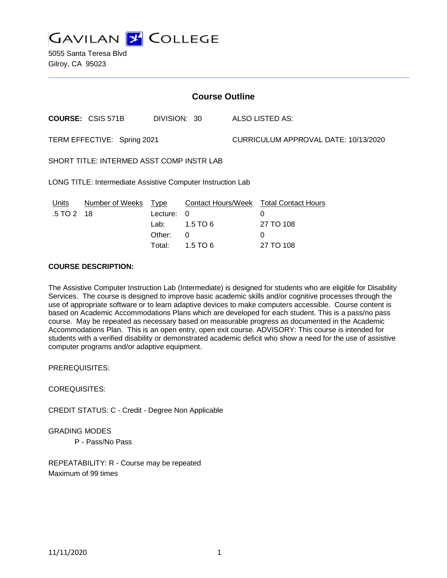

5055 Santa Teresa Blvd Gilroy, CA 95023

| <b>Course Outline</b>                                       |                              |                                      |                                           |                                      |                                                                                          |
|-------------------------------------------------------------|------------------------------|--------------------------------------|-------------------------------------------|--------------------------------------|------------------------------------------------------------------------------------------|
|                                                             | <b>COURSE: CSIS 571B</b>     | DIVISION: 30                         |                                           |                                      | <b>ALSO LISTED AS:</b>                                                                   |
| TERM EFFECTIVE: Spring 2021                                 |                              |                                      |                                           | CURRICULUM APPROVAL DATE: 10/13/2020 |                                                                                          |
| SHORT TITLE: INTERMED ASST COMP INSTR LAB                   |                              |                                      |                                           |                                      |                                                                                          |
| LONG TITLE: Intermediate Assistive Computer Instruction Lab |                              |                                      |                                           |                                      |                                                                                          |
| <b>Units</b><br>.5 TO 2                                     | Number of Weeks Type<br>- 18 | Lecture:<br>Lab:<br>Other:<br>Total: | $\Omega$<br>$1.5$ TO 6<br>0<br>$1.5$ TO 6 |                                      | <b>Contact Hours/Week Total Contact Hours</b><br>$\Omega$<br>27 TO 108<br>0<br>27 TO 108 |

## **COURSE DESCRIPTION:**

The Assistive Computer Instruction Lab (Intermediate) is designed for students who are eligible for Disability Services. The course is designed to improve basic academic skills and/or cognitive processes through the use of appropriate software or to learn adaptive devices to make computers accessible. Course content is based on Academic Accommodations Plans which are developed for each student. This is a pass/no pass course. May be repeated as necessary based on measurable progress as documented in the Academic Accommodations Plan. This is an open entry, open exit course. ADVISORY: This course is intended for students with a verified disability or demonstrated academic deficit who show a need for the use of assistive computer programs and/or adaptive equipment.

PREREQUISITES:

COREQUISITES:

CREDIT STATUS: C - Credit - Degree Non Applicable

GRADING MODES

P - Pass/No Pass

REPEATABILITY: R - Course may be repeated Maximum of 99 times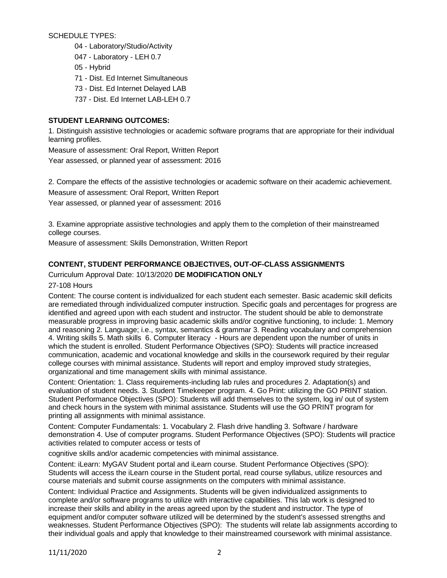SCHEDULE TYPES:

- 04 Laboratory/Studio/Activity
- 047 Laboratory LEH 0.7
- 05 Hybrid
- 71 Dist. Ed Internet Simultaneous
- 73 Dist. Ed Internet Delayed LAB
- 737 Dist. Ed Internet LAB-LEH 0.7

# **STUDENT LEARNING OUTCOMES:**

1. Distinguish assistive technologies or academic software programs that are appropriate for their individual learning profiles.

Measure of assessment: Oral Report, Written Report Year assessed, or planned year of assessment: 2016

2. Compare the effects of the assistive technologies or academic software on their academic achievement.

Measure of assessment: Oral Report, Written Report

Year assessed, or planned year of assessment: 2016

3. Examine appropriate assistive technologies and apply them to the completion of their mainstreamed college courses.

Measure of assessment: Skills Demonstration, Written Report

# **CONTENT, STUDENT PERFORMANCE OBJECTIVES, OUT-OF-CLASS ASSIGNMENTS**

# Curriculum Approval Date: 10/13/2020 **DE MODIFICATION ONLY**

27-108 Hours

Content: The course content is individualized for each student each semester. Basic academic skill deficits are remediated through individualized computer instruction. Specific goals and percentages for progress are identified and agreed upon with each student and instructor. The student should be able to demonstrate measurable progress in improving basic academic skills and/or cognitive functioning, to include: 1. Memory and reasoning 2. Language; i.e., syntax, semantics & grammar 3. Reading vocabulary and comprehension 4. Writing skills 5. Math skills 6. Computer literacy - Hours are dependent upon the number of units in which the student is enrolled. Student Performance Objectives (SPO): Students will practice increased communication, academic and vocational knowledge and skills in the coursework required by their regular college courses with minimal assistance. Students will report and employ improved study strategies, organizational and time management skills with minimal assistance.

Content: Orientation: 1. Class requirements-including lab rules and procedures 2. Adaptation(s) and evaluation of student needs. 3. Student Timekeeper program. 4. Go Print: utilizing the GO PRINT station. Student Performance Objectives (SPO): Students will add themselves to the system, log in/ out of system and check hours in the system with minimal assistance. Students will use the GO PRINT program for printing all assignments with minimal assistance.

Content: Computer Fundamentals: 1. Vocabulary 2. Flash drive handling 3. Software / hardware demonstration 4. Use of computer programs. Student Performance Objectives (SPO): Students will practice activities related to computer access or tests of

cognitive skills and/or academic competencies with minimal assistance.

Content: iLearn: MyGAV Student portal and iLearn course. Student Performance Objectives (SPO): Students will access the iLearn course in the Student portal, read course syllabus, utilize resources and course materials and submit course assignments on the computers with minimal assistance.

Content: Individual Practice and Assignments. Students will be given individualized assignments to complete and/or software programs to utilize with interactive capabilities. This lab work is designed to increase their skills and ability in the areas agreed upon by the student and instructor. The type of equipment and/or computer software utilized will be determined by the student's assessed strengths and weaknesses. Student Performance Objectives (SPO): The students will relate lab assignments according to their individual goals and apply that knowledge to their mainstreamed coursework with minimal assistance.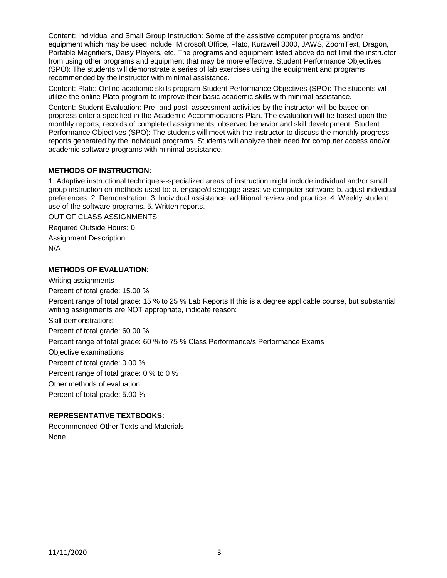Content: Individual and Small Group Instruction: Some of the assistive computer programs and/or equipment which may be used include: Microsoft Office, Plato, Kurzweil 3000, JAWS, ZoomText, Dragon, Portable Magnifiers, Daisy Players, etc. The programs and equipment listed above do not limit the instructor from using other programs and equipment that may be more effective. Student Performance Objectives (SPO): The students will demonstrate a series of lab exercises using the equipment and programs recommended by the instructor with minimal assistance.

Content: Plato: Online academic skills program Student Performance Objectives (SPO): The students will utilize the online Plato program to improve their basic academic skills with minimal assistance.

Content: Student Evaluation: Pre- and post- assessment activities by the instructor will be based on progress criteria specified in the Academic Accommodations Plan. The evaluation will be based upon the monthly reports, records of completed assignments, observed behavior and skill development. Student Performance Objectives (SPO): The students will meet with the instructor to discuss the monthly progress reports generated by the individual programs. Students will analyze their need for computer access and/or academic software programs with minimal assistance.

#### **METHODS OF INSTRUCTION:**

1. Adaptive instructional techniques--specialized areas of instruction might include individual and/or small group instruction on methods used to: a. engage/disengage assistive computer software; b. adjust individual preferences. 2. Demonstration. 3. Individual assistance, additional review and practice. 4. Weekly student use of the software programs. 5. Written reports.

OUT OF CLASS ASSIGNMENTS:

Required Outside Hours: 0 Assignment Description:

N/A

## **METHODS OF EVALUATION:**

Writing assignments

Percent of total grade: 15.00 %

Percent range of total grade: 15 % to 25 % Lab Reports If this is a degree applicable course, but substantial writing assignments are NOT appropriate, indicate reason:

Skill demonstrations

Percent of total grade: 60.00 %

Percent range of total grade: 60 % to 75 % Class Performance/s Performance Exams

Objective examinations

Percent of total grade: 0.00 %

Percent range of total grade: 0 % to 0 %

Other methods of evaluation

Percent of total grade: 5.00 %

## **REPRESENTATIVE TEXTBOOKS:**

Recommended Other Texts and Materials None.